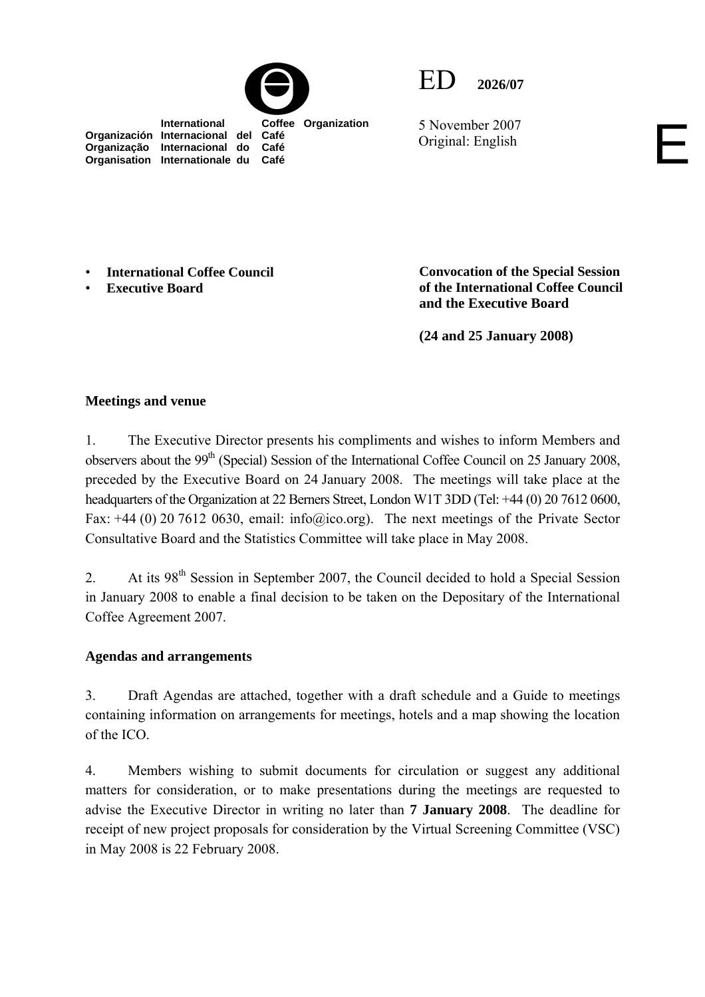



5 November 2007 5 November 2007<br>Original: English

 **International Coffee Organization Organización Internacional del Café Organização Internacional do Café Organisation Internationale du Café**

• **International Coffee Council** 

• **Executive Board** 

**Convocation of the Special Session of the International Coffee Council and the Executive Board** 

**(24 and 25 January 2008)** 

# **Meetings and venue**

1. The Executive Director presents his compliments and wishes to inform Members and observers about the 99<sup>th</sup> (Special) Session of the International Coffee Council on 25 January 2008, preceded by the Executive Board on 24 January 2008. The meetings will take place at the headquarters of the Organization at 22 Berners Street, London W1T 3DD (Tel: +44 (0) 20 7612 0600, Fax: +44 (0) 20 7612 0630, email: info@ico.org). The next meetings of the Private Sector Consultative Board and the Statistics Committee will take place in May 2008.

2. At its  $98<sup>th</sup>$  Session in September 2007, the Council decided to hold a Special Session in January 2008 to enable a final decision to be taken on the Depositary of the International Coffee Agreement 2007.

# **Agendas and arrangements**

3. Draft Agendas are attached, together with a draft schedule and a Guide to meetings containing information on arrangements for meetings, hotels and a map showing the location of the ICO.

4. Members wishing to submit documents for circulation or suggest any additional matters for consideration, or to make presentations during the meetings are requested to advise the Executive Director in writing no later than **7 January 2008**. The deadline for receipt of new project proposals for consideration by the Virtual Screening Committee (VSC) in May 2008 is 22 February 2008.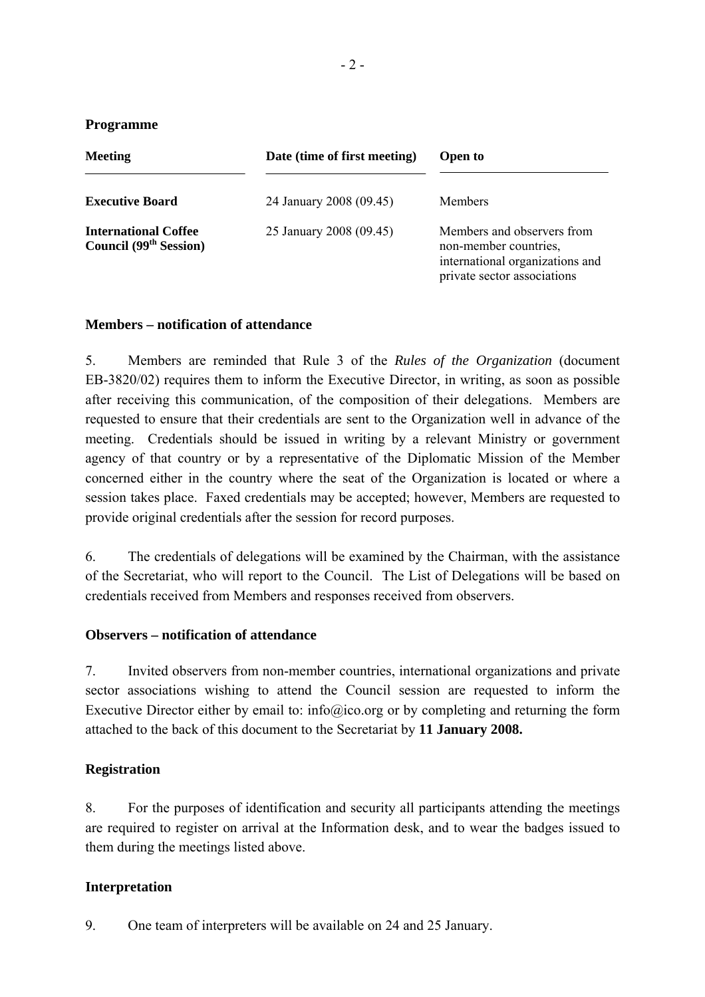### **Programme**

| <b>Meeting</b>                                                           | Date (time of first meeting) | <b>Open to</b>                                                                                                        |
|--------------------------------------------------------------------------|------------------------------|-----------------------------------------------------------------------------------------------------------------------|
| <b>Executive Board</b>                                                   | 24 January 2008 (09.45)      | <b>Members</b>                                                                                                        |
| <b>International Coffee</b><br><b>Council</b> (99 <sup>th</sup> Session) | 25 January 2008 (09.45)      | Members and observers from<br>non-member countries,<br>international organizations and<br>private sector associations |

### **Members – notification of attendance**

5. Members are reminded that Rule 3 of the *Rules of the Organization* (document EB-3820/02) requires them to inform the Executive Director, in writing, as soon as possible after receiving this communication, of the composition of their delegations. Members are requested to ensure that their credentials are sent to the Organization well in advance of the meeting. Credentials should be issued in writing by a relevant Ministry or government agency of that country or by a representative of the Diplomatic Mission of the Member concerned either in the country where the seat of the Organization is located or where a session takes place. Faxed credentials may be accepted; however, Members are requested to provide original credentials after the session for record purposes.

6. The credentials of delegations will be examined by the Chairman, with the assistance of the Secretariat, who will report to the Council. The List of Delegations will be based on credentials received from Members and responses received from observers.

### **Observers – notification of attendance**

7. Invited observers from non-member countries, international organizations and private sector associations wishing to attend the Council session are requested to inform the Executive Director either by email to: info@ico.org or by completing and returning the form attached to the back of this document to the Secretariat by **11 January 2008.** 

# **Registration**

8. For the purposes of identification and security all participants attending the meetings are required to register on arrival at the Information desk, and to wear the badges issued to them during the meetings listed above.

# **Interpretation**

9. One team of interpreters will be available on 24 and 25 January.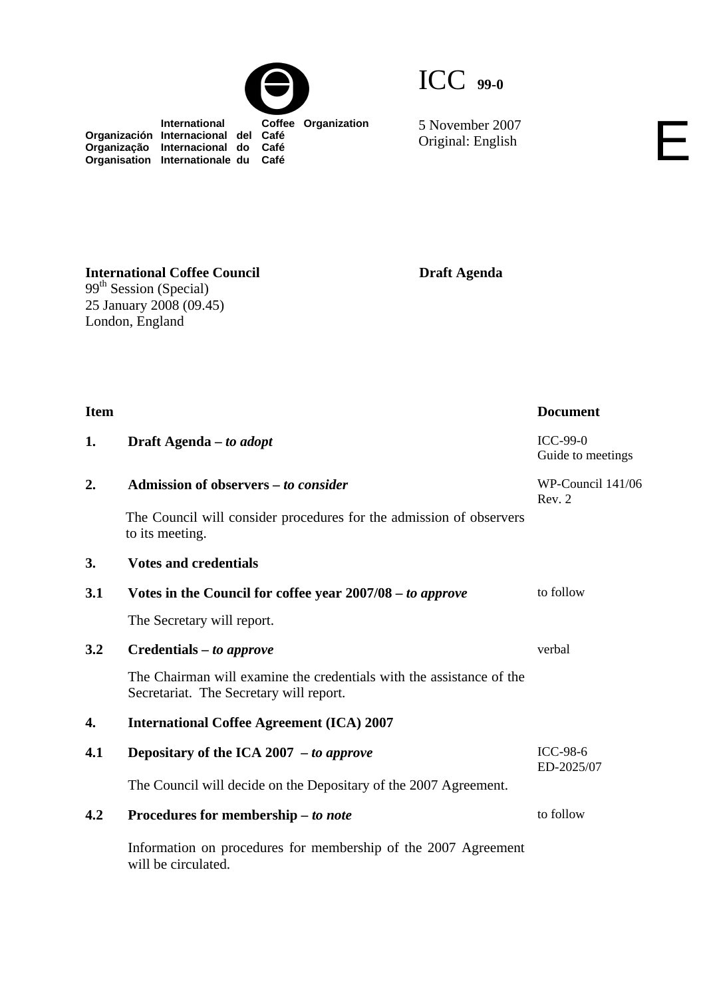

5 November 2007<br>Original: English

 **International Coffee Organization Organización Internacional del Café Organização Internacional do Café Organisation Internationale du Café**

**Draft Agenda** 

**International Coffee Council**  99<sup>th</sup> Session (Special) 25 January 2008 (09.45) London, England

| <b>Item</b> |                                                                                                                 | <b>Document</b>                      |
|-------------|-----------------------------------------------------------------------------------------------------------------|--------------------------------------|
| 1.          | Draft Agenda – to adopt                                                                                         | <b>ICC-99-0</b><br>Guide to meetings |
| 2.          | Admission of observers - to consider                                                                            | WP-Council 141/06<br>Rev. 2          |
|             | The Council will consider procedures for the admission of observers<br>to its meeting.                          |                                      |
| 3.          | <b>Votes and credentials</b>                                                                                    |                                      |
| 3.1         | Votes in the Council for coffee year 2007/08 – to approve                                                       | to follow                            |
|             | The Secretary will report.                                                                                      |                                      |
| 3.2         | Credentials – to approve                                                                                        | verbal                               |
|             | The Chairman will examine the credentials with the assistance of the<br>Secretariat. The Secretary will report. |                                      |
| 4.          | <b>International Coffee Agreement (ICA) 2007</b>                                                                |                                      |
| 4.1         | Depositary of the ICA 2007 $-$ to approve                                                                       | <b>ICC-98-6</b><br>ED-2025/07        |
|             | The Council will decide on the Depositary of the 2007 Agreement.                                                |                                      |
| 4.2         | Procedures for membership - to note                                                                             | to follow                            |
|             | Information on procedures for membership of the 2007 Agreement<br>will be circulated.                           |                                      |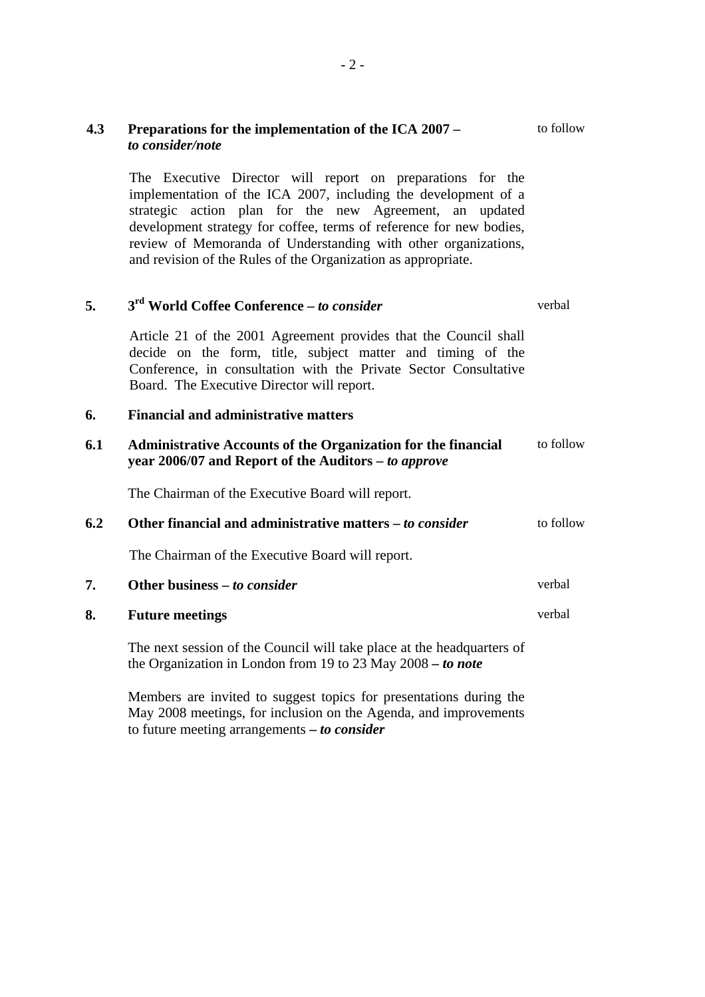| 4.3 | Preparations for the implementation of the ICA 2007 –<br>to consider/note                                                                                                                                                                                                                                                                                                                         |           |  |  |
|-----|---------------------------------------------------------------------------------------------------------------------------------------------------------------------------------------------------------------------------------------------------------------------------------------------------------------------------------------------------------------------------------------------------|-----------|--|--|
|     | The Executive Director will report on preparations for the<br>implementation of the ICA 2007, including the development of a<br>strategic action plan for the new Agreement, an updated<br>development strategy for coffee, terms of reference for new bodies,<br>review of Memoranda of Understanding with other organizations,<br>and revision of the Rules of the Organization as appropriate. |           |  |  |
| 5.  | 3 <sup>rd</sup> World Coffee Conference - to consider                                                                                                                                                                                                                                                                                                                                             | verbal    |  |  |
|     | Article 21 of the 2001 Agreement provides that the Council shall<br>decide on the form, title, subject matter and timing of the<br>Conference, in consultation with the Private Sector Consultative<br>Board. The Executive Director will report.                                                                                                                                                 |           |  |  |
| 6.  | <b>Financial and administrative matters</b>                                                                                                                                                                                                                                                                                                                                                       |           |  |  |
| 6.1 | <b>Administrative Accounts of the Organization for the financial</b><br>year 2006/07 and Report of the Auditors – to approve                                                                                                                                                                                                                                                                      | to follow |  |  |
|     | The Chairman of the Executive Board will report.                                                                                                                                                                                                                                                                                                                                                  |           |  |  |
| 6.2 | Other financial and administrative matters - to consider                                                                                                                                                                                                                                                                                                                                          | to follow |  |  |
|     | The Chairman of the Executive Board will report.                                                                                                                                                                                                                                                                                                                                                  |           |  |  |
| 7.  | Other business – to consider                                                                                                                                                                                                                                                                                                                                                                      | verbal    |  |  |
| 8.  | <b>Future meetings</b>                                                                                                                                                                                                                                                                                                                                                                            | verbal    |  |  |
|     | The next session of the Council will take place at the headquarters of<br>the Organization in London from 19 to 23 May $2008 -$ to note                                                                                                                                                                                                                                                           |           |  |  |
|     | Members are invited to suggest topics for presentations during the<br>May 2008 meetings, for inclusion on the Agenda, and improvements                                                                                                                                                                                                                                                            |           |  |  |

to future meeting arrangements **–** *to consider*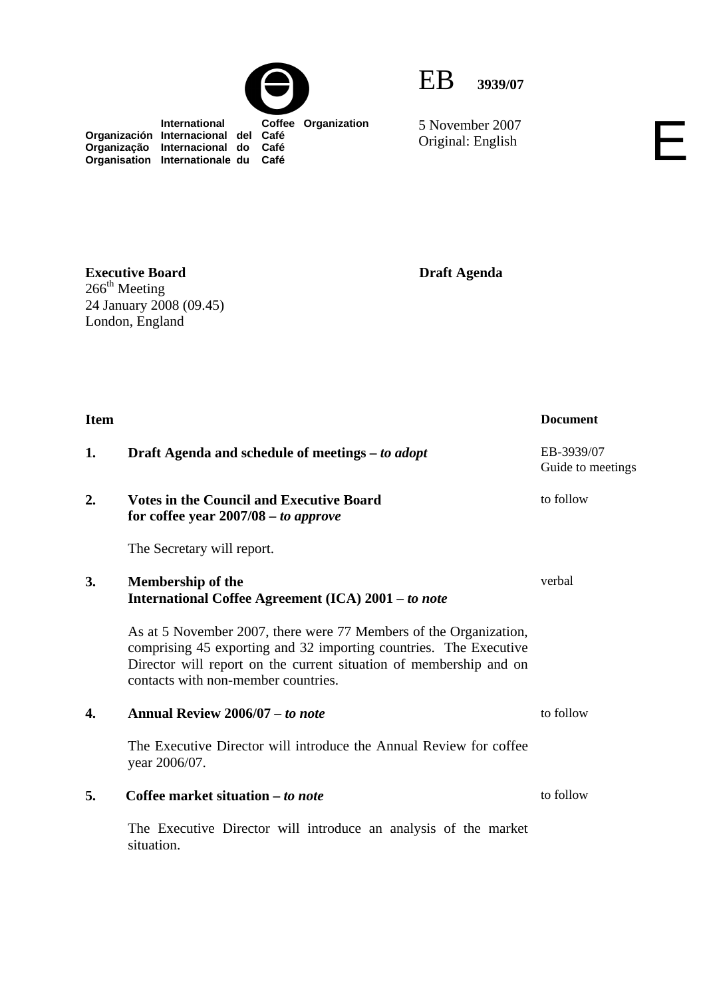



5 November 2007 Original: English

 **International Coffee Organization Organización Internacional del Café Organização Internacional do Café Organisation Internationale du Café**

**Executive Board**   $266^{\text{th}}$  Meeting 24 January 2008 (09.45) London, England

**Draft Agenda** 

| <b>Item</b> |                                                                                                                                                                                                                                                     | <b>Document</b>                 |
|-------------|-----------------------------------------------------------------------------------------------------------------------------------------------------------------------------------------------------------------------------------------------------|---------------------------------|
| 1.          | Draft Agenda and schedule of meetings – to adopt                                                                                                                                                                                                    | EB-3939/07<br>Guide to meetings |
| 2.          | <b>Votes in the Council and Executive Board</b><br>for coffee year $2007/08 - to$ approve                                                                                                                                                           | to follow                       |
|             | The Secretary will report.                                                                                                                                                                                                                          |                                 |
| 3.          | <b>Membership of the</b><br>International Coffee Agreement (ICA) 2001 - to note                                                                                                                                                                     | verbal                          |
|             | As at 5 November 2007, there were 77 Members of the Organization,<br>comprising 45 exporting and 32 importing countries. The Executive<br>Director will report on the current situation of membership and on<br>contacts with non-member countries. |                                 |
| 4.          | Annual Review 2006/07 – to note                                                                                                                                                                                                                     | to follow                       |
|             | The Executive Director will introduce the Annual Review for coffee<br>year 2006/07.                                                                                                                                                                 |                                 |
| 5.          | Coffee market situation – to note                                                                                                                                                                                                                   | to follow                       |
|             | The Executive Director will introduce an analysis of the market<br>situation.                                                                                                                                                                       |                                 |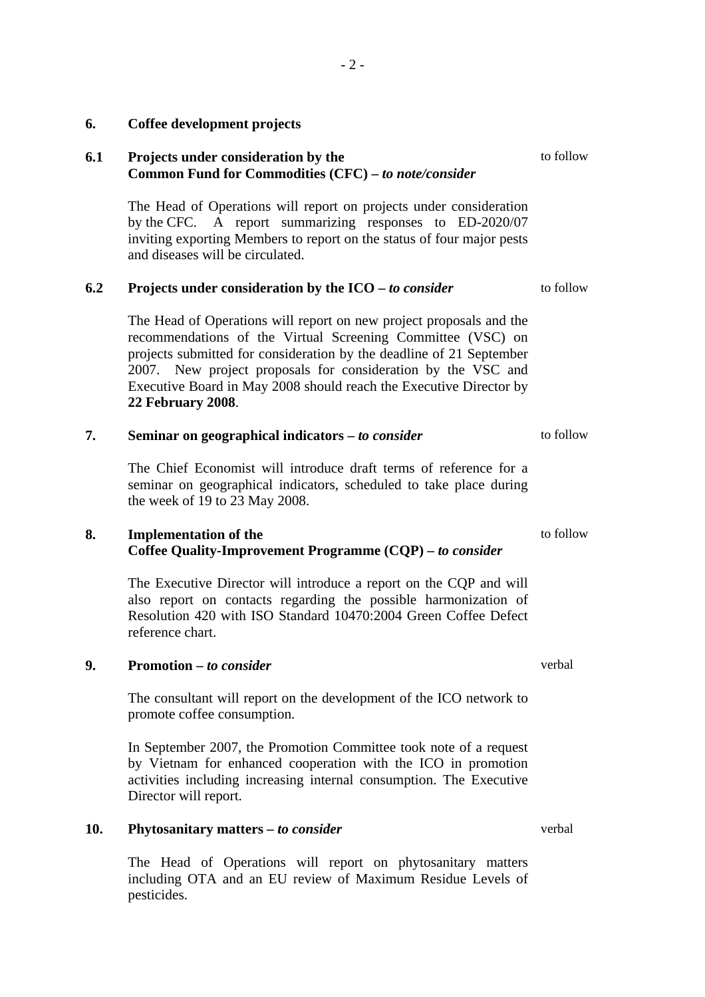# **6.1 Projects under consideration by the Common Fund for Commodities (CFC) –** *to note/consider* The Head of Operations will report on projects under consideration by the CFC. A report summarizing responses to ED-2020/07 inviting exporting Members to report on the status of four major pests and diseases will be circulated. to follow **6.2 Projects under consideration by the ICO –** *to consider* The Head of Operations will report on new project proposals and the recommendations of the Virtual Screening Committee (VSC) on projects submitted for consideration by the deadline of 21 September 2007. New project proposals for consideration by the VSC and Executive Board in May 2008 should reach the Executive Director by **22 February 2008**. to follow

#### **7. Seminar on geographical indicators –** *to consider* to follow

The Chief Economist will introduce draft terms of reference for a seminar on geographical indicators, scheduled to take place during the week of 19 to 23 May 2008.

### **8. Implementation of the Coffee Quality-Improvement Programme (CQP) –** *to consider*

The Executive Director will introduce a report on the CQP and will also report on contacts regarding the possible harmonization of Resolution 420 with ISO Standard 10470:2004 Green Coffee Defect reference chart.

### **9. Promotion –** *to consider*

The consultant will report on the development of the ICO network to promote coffee consumption.

In September 2007, the Promotion Committee took note of a request by Vietnam for enhanced cooperation with the ICO in promotion activities including increasing internal consumption. The Executive Director will report.

# **10. Phytosanitary matters –** *to consider* verbal

The Head of Operations will report on phytosanitary matters including OTA and an EU review of Maximum Residue Levels of pesticides.

to follow

verbal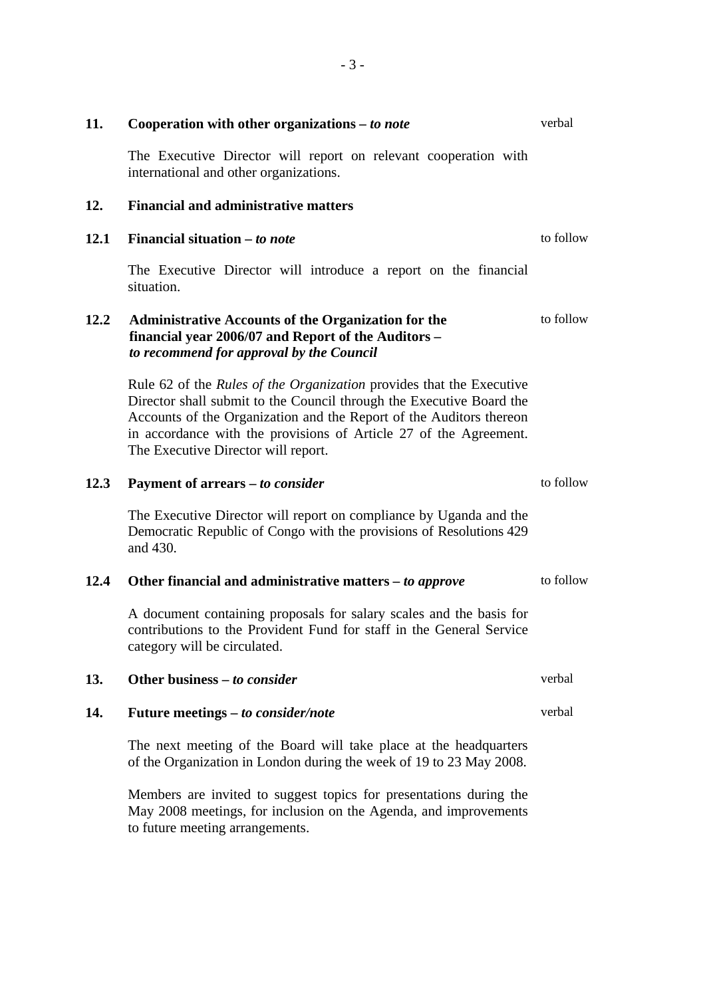| 11.  | verbal<br>Cooperation with other organizations – to note                                                                                                                                                                                                                                                                               |           |  |
|------|----------------------------------------------------------------------------------------------------------------------------------------------------------------------------------------------------------------------------------------------------------------------------------------------------------------------------------------|-----------|--|
|      | The Executive Director will report on relevant cooperation with<br>international and other organizations.                                                                                                                                                                                                                              |           |  |
| 12.  | <b>Financial and administrative matters</b>                                                                                                                                                                                                                                                                                            |           |  |
| 12.1 | Financial situation $-$ to note                                                                                                                                                                                                                                                                                                        | to follow |  |
|      | The Executive Director will introduce a report on the financial<br>situation.                                                                                                                                                                                                                                                          |           |  |
| 12.2 | <b>Administrative Accounts of the Organization for the</b><br>financial year 2006/07 and Report of the Auditors -<br>to recommend for approval by the Council                                                                                                                                                                          | to follow |  |
|      | Rule 62 of the <i>Rules of the Organization</i> provides that the Executive<br>Director shall submit to the Council through the Executive Board the<br>Accounts of the Organization and the Report of the Auditors thereon<br>in accordance with the provisions of Article 27 of the Agreement.<br>The Executive Director will report. |           |  |
| 12.3 | Payment of arrears – to consider                                                                                                                                                                                                                                                                                                       | to follow |  |
|      | The Executive Director will report on compliance by Uganda and the<br>Democratic Republic of Congo with the provisions of Resolutions 429<br>and 430.                                                                                                                                                                                  |           |  |
| 12.4 | Other financial and administrative matters – to approve                                                                                                                                                                                                                                                                                | to follow |  |
|      | A document containing proposals for salary scales and the basis for<br>contributions to the Provident Fund for staff in the General Service<br>category will be circulated.                                                                                                                                                            |           |  |
| 13.  | Other business $-$ to consider                                                                                                                                                                                                                                                                                                         | verbal    |  |
| 14.  | Future meetings - to consider/note                                                                                                                                                                                                                                                                                                     | verbal    |  |
|      | The next meeting of the Board will take place at the headquarters<br>of the Organization in London during the week of 19 to 23 May 2008.                                                                                                                                                                                               |           |  |
|      | d to moored touts<br>وعناصبن وسواحها                                                                                                                                                                                                                                                                                                   |           |  |

Members are invited to suggest topics for presentations during the May 2008 meetings, for inclusion on the Agenda, and improvements to future meeting arrangements.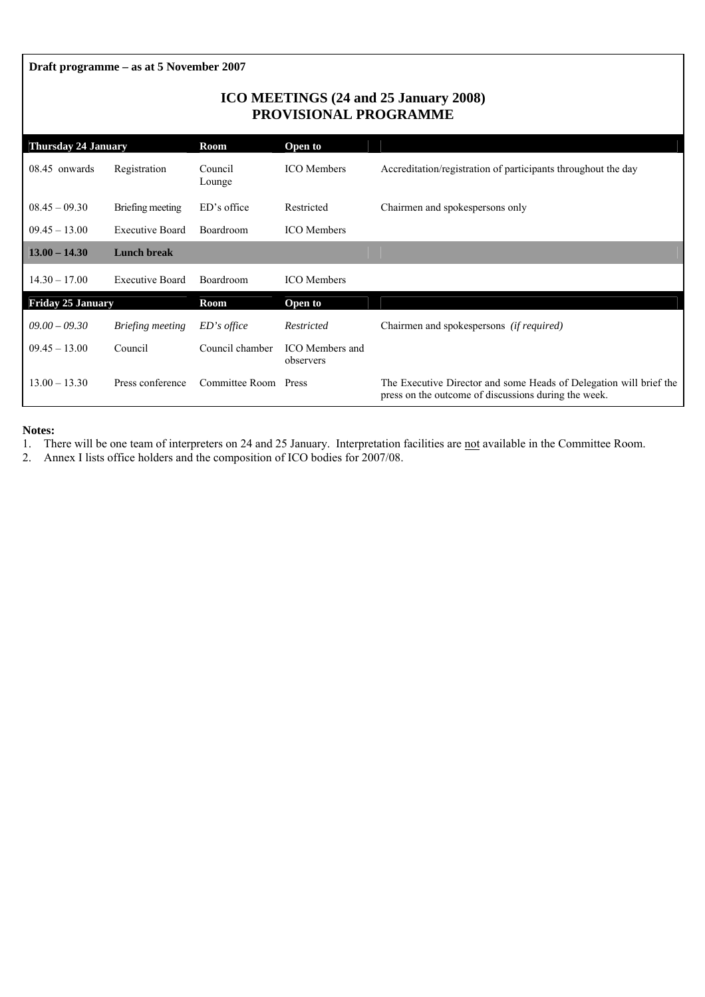**Draft programme – as at 5 November 2007** 

### **ICO MEETINGS (24 and 25 January 2008) PROVISIONAL PROGRAMME**

| <b>Thursday 24 January</b> |                        | Room              | Open to                      |                                                                                                                            |
|----------------------------|------------------------|-------------------|------------------------------|----------------------------------------------------------------------------------------------------------------------------|
| 08.45 onwards              | Registration           | Council<br>Lounge | <b>ICO</b> Members           | Accreditation/registration of participants throughout the day                                                              |
| $08.45 - 09.30$            | Briefing meeting       | ED's office       | Restricted                   | Chairmen and spokespersons only                                                                                            |
| $09.45 - 13.00$            | <b>Executive Board</b> | Boardroom         | <b>ICO</b> Members           |                                                                                                                            |
| $13.00 - 14.30$            | <b>Lunch break</b>     |                   |                              |                                                                                                                            |
| $14.30 - 17.00$            | <b>Executive Board</b> | <b>Boardroom</b>  | <b>ICO</b> Members           |                                                                                                                            |
| <b>Friday 25 January</b>   |                        | Room              | Open to                      |                                                                                                                            |
| $09.00 - 09.30$            | Briefing meeting       | $ED's$ office     | Restricted                   | Chairmen and spokespersons <i>(if required)</i>                                                                            |
| $09.45 - 13.00$            | Council                | Council chamber   | ICO Members and<br>observers |                                                                                                                            |
| $13.00 - 13.30$            | Press conference       | Committee Room    | Press                        | The Executive Director and some Heads of Delegation will brief the<br>press on the outcome of discussions during the week. |

**Notes:** 

1. There will be one team of interpreters on 24 and 25 January. Interpretation facilities are not available in the Committee Room.

2. Annex I lists office holders and the composition of ICO bodies for 2007/08.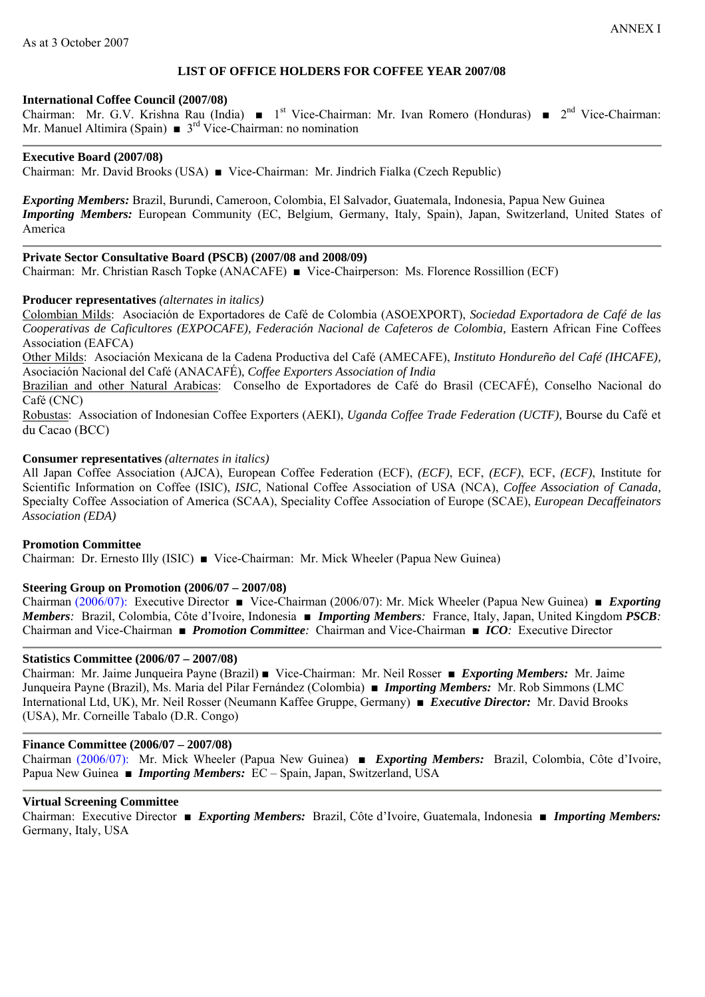### **LIST OF OFFICE HOLDERS FOR COFFEE YEAR 2007/08**

#### **International Coffee Council (2007/08)**

Chairman: Mr. G.V. Krishna Rau (India) ■ 1<sup>st</sup> Vice-Chairman: Mr. Ivan Romero (Honduras) ■ 2<sup>nd</sup> Vice-Chairman: Mr. Manuel Altimira (Spain)  $\bullet$  3<sup>rd</sup> Vice-Chairman: no nomination

### **Executive Board (2007/08)**

Chairman: Mr. David Brooks (USA) ■ Vice-Chairman: Mr. Jindrich Fialka (Czech Republic)

*Exporting Members:* Brazil, Burundi, Cameroon, Colombia, El Salvador, Guatemala, Indonesia, Papua New Guinea *Importing Members:* European Community (EC, Belgium, Germany, Italy, Spain), Japan, Switzerland, United States of America

### **Private Sector Consultative Board (PSCB) (2007/08 and 2008/09)**

Chairman: Mr. Christian Rasch Topke (ANACAFE) ■ Vice-Chairperson: Ms. Florence Rossillion (ECF)

#### **Producer representatives** *(alternates in italics)*

Colombian Milds: Asociación de Exportadores de Café de Colombia (ASOEXPORT), *Sociedad Exportadora de Café de las Cooperativas de Caficultores (EXPOCAFE), Federación Nacional de Cafeteros de Colombia,* Eastern African Fine Coffees Association (EAFCA)

Other Milds: Asociación Mexicana de la Cadena Productiva del Café (AMECAFE), *Instituto Hondureño del Café (IHCAFE),*  Asociación Nacional del Café (ANACAFÉ)*, Coffee Exporters Association of India* 

Brazilian and other Natural Arabicas: Conselho de Exportadores de Café do Brasil (CECAFÉ), Conselho Nacional do Café (CNC)

Robustas: Association of Indonesian Coffee Exporters (AEKI), *Uganda Coffee Trade Federation (UCTF),* Bourse du Café et du Cacao (BCC)

#### **Consumer representatives** *(alternates in italics)*

All Japan Coffee Association (AJCA), European Coffee Federation (ECF), *(ECF)*, ECF, *(ECF)*, ECF, *(ECF)*, Institute for Scientific Information on Coffee (ISIC), *ISIC,* National Coffee Association of USA (NCA), *Coffee Association of Canada,*  Specialty Coffee Association of America (SCAA), Speciality Coffee Association of Europe (SCAE), *European Decaffeinators Association (EDA)* 

#### **Promotion Committee**

Chairman: Dr. Ernesto Illy (ISIC) ■ Vice-Chairman: Mr. Mick Wheeler (Papua New Guinea)

#### **Steering Group on Promotion (2006/07 – 2007/08)**

Chairman (2006/07): Executive Director ■ Vice-Chairman (2006/07): Mr. Mick Wheeler (Papua New Guinea) ■ *Exporting Members:* Brazil, Colombia, Côte d'Ivoire, Indonesia ■ *Importing Members:*France, Italy, Japan, United Kingdom *PSCB:* Chairman and Vice-Chairman ■ *Promotion Committee:* Chairman and Vice-Chairman ■ *ICO:* Executive Director

### **Statistics Committee (2006/07 – 2007/08)**

Chairman: Mr. Jaime Junqueira Payne (Brazil) ■ Vice-Chairman: Mr. Neil Rosser ■ *Exporting Members:* Mr. Jaime Junqueira Payne (Brazil), Ms. Maria del Pilar Fernández (Colombia) ■ *Importing Members:* Mr. Rob Simmons (LMC International Ltd, UK), Mr. Neil Rosser (Neumann Kaffee Gruppe, Germany) ■ *Executive Director:* Mr. David Brooks (USA), Mr. Corneille Tabalo (D.R. Congo)

#### **Finance Committee (2006/07 – 2007/08)**

Chairman (2006/07): Mr. Mick Wheeler (Papua New Guinea) ■ *Exporting Members:* Brazil, Colombia, Côte d'Ivoire, Papua New Guinea ■ *Importing Members:* EC – Spain, Japan, Switzerland, USA

#### **Virtual Screening Committee**

Chairman: Executive Director ■ *Exporting Members:*Brazil, Côte d'Ivoire, Guatemala, Indonesia ■ *Importing Members:* Germany, Italy, USA